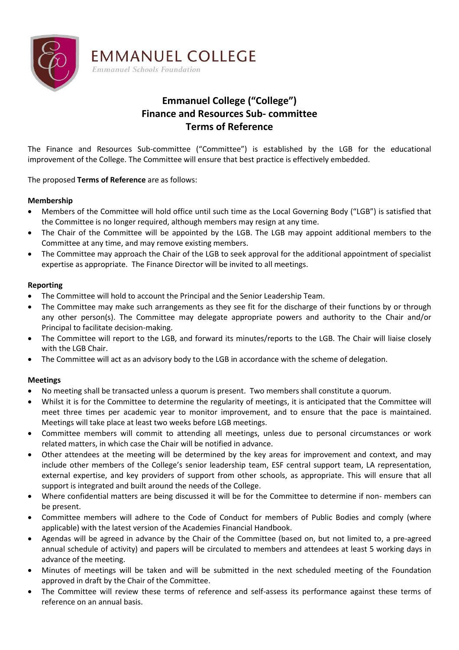

# **Emmanuel College ("College") Finance and Resources Sub- committee Terms of Reference**

The Finance and Resources Sub-committee ("Committee") is established by the LGB for the educational improvement of the College. The Committee will ensure that best practice is effectively embedded.

# The proposed **Terms of Reference** are as follows:

# **Membership**

- Members of the Committee will hold office until such time as the Local Governing Body ("LGB") is satisfied that the Committee is no longer required, although members may resign at any time.
- The Chair of the Committee will be appointed by the LGB. The LGB may appoint additional members to the Committee at any time, and may remove existing members.
- The Committee may approach the Chair of the LGB to seek approval for the additional appointment of specialist expertise as appropriate. The Finance Director will be invited to all meetings.

### **Reporting**

• The Committee will hold to account the Principal and the Senior Leadership Team.

**EMMANUEL COLLEGE** 

**Emmanuel Schools Foundation** 

- The Committee may make such arrangements as they see fit for the discharge of their functions by or through any other person(s). The Committee may delegate appropriate powers and authority to the Chair and/or Principal to facilitate decision-making.
- The Committee will report to the LGB, and forward its minutes/reports to the LGB. The Chair will liaise closely with the LGB Chair.
- The Committee will act as an advisory body to the LGB in accordance with the scheme of delegation.

### **Meetings**

- No meeting shall be transacted unless a quorum is present. Two members shall constitute a quorum.
- Whilst it is for the Committee to determine the regularity of meetings, it is anticipated that the Committee will meet three times per academic year to monitor improvement, and to ensure that the pace is maintained. Meetings will take place at least two weeks before LGB meetings.
- Committee members will commit to attending all meetings, unless due to personal circumstances or work related matters, in which case the Chair will be notified in advance.
- Other attendees at the meeting will be determined by the key areas for improvement and context, and may include other members of the College's senior leadership team, ESF central support team, LA representation, external expertise, and key providers of support from other schools, as appropriate. This will ensure that all support is integrated and built around the needs of the College.
- Where confidential matters are being discussed it will be for the Committee to determine if non- members can be present.
- Committee members will adhere to the Code of Conduct for members of Public Bodies and comply (where applicable) with the latest version of the Academies Financial Handbook.
- Agendas will be agreed in advance by the Chair of the Committee (based on, but not limited to, a pre-agreed annual schedule of activity) and papers will be circulated to members and attendees at least 5 working days in advance of the meeting.
- Minutes of meetings will be taken and will be submitted in the next scheduled meeting of the Foundation approved in draft by the Chair of the Committee.
- The Committee will review these terms of reference and self-assess its performance against these terms of reference on an annual basis.